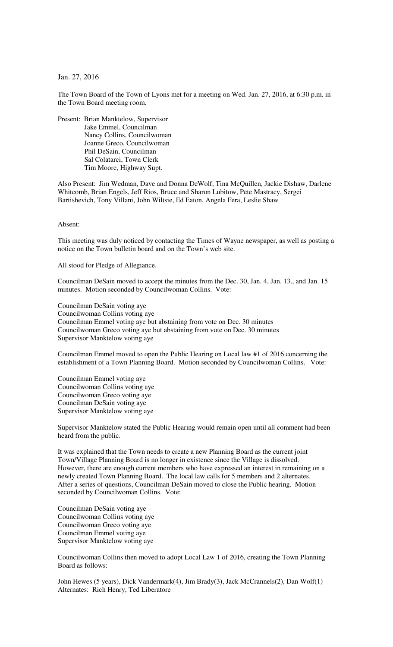Jan. 27, 2016

The Town Board of the Town of Lyons met for a meeting on Wed. Jan. 27, 2016, at 6:30 p.m. in the Town Board meeting room.

Present: Brian Manktelow, Supervisor Jake Emmel, Councilman Nancy Collins, Councilwoman Joanne Greco, Councilwoman Phil DeSain, Councilman Sal Colatarci, Town Clerk Tim Moore, Highway Supt.

Also Present: Jim Wedman, Dave and Donna DeWolf, Tina McQuillen, Jackie Dishaw, Darlene Whitcomb, Brian Engels, Jeff Rios, Bruce and Sharon Lubitow, Pete Mastracy, Sergei Bartishevich, Tony Villani, John Wiltsie, Ed Eaton, Angela Fera, Leslie Shaw

Absent:

This meeting was duly noticed by contacting the Times of Wayne newspaper, as well as posting a notice on the Town bulletin board and on the Town's web site.

All stood for Pledge of Allegiance.

Councilman DeSain moved to accept the minutes from the Dec. 30, Jan. 4, Jan. 13., and Jan. 15 minutes. Motion seconded by Councilwoman Collins. Vote:

Councilman DeSain voting aye Councilwoman Collins voting aye Councilman Emmel voting aye but abstaining from vote on Dec. 30 minutes Councilwoman Greco voting aye but abstaining from vote on Dec. 30 minutes Supervisor Manktelow voting aye

Councilman Emmel moved to open the Public Hearing on Local law #1 of 2016 concerning the establishment of a Town Planning Board. Motion seconded by Councilwoman Collins. Vote:

Councilman Emmel voting aye Councilwoman Collins voting aye Councilwoman Greco voting aye Councilman DeSain voting aye Supervisor Manktelow voting aye

Supervisor Manktelow stated the Public Hearing would remain open until all comment had been heard from the public.

It was explained that the Town needs to create a new Planning Board as the current joint Town/Village Planning Board is no longer in existence since the Village is dissolved. However, there are enough current members who have expressed an interest in remaining on a newly created Town Planning Board. The local law calls for 5 members and 2 alternates. After a series of questions, Councilman DeSain moved to close the Public hearing. Motion seconded by Councilwoman Collins. Vote:

Councilman DeSain voting aye Councilwoman Collins voting aye Councilwoman Greco voting aye Councilman Emmel voting aye Supervisor Manktelow voting aye

Councilwoman Collins then moved to adopt Local Law 1 of 2016, creating the Town Planning Board as follows:

John Hewes (5 years), Dick Vandermark(4), Jim Brady(3), Jack McCrannels(2), Dan Wolf(1) Alternates: Rich Henry, Ted Liberatore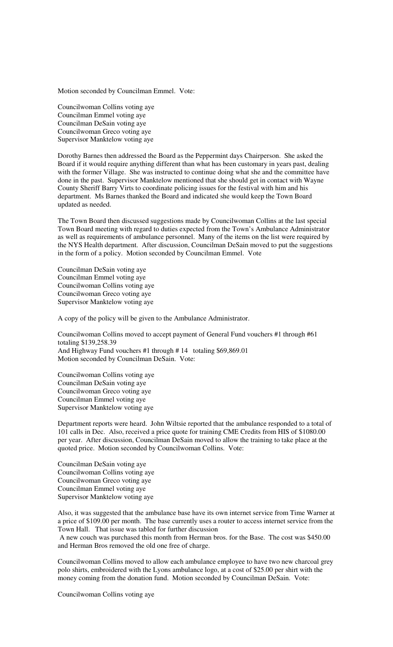Motion seconded by Councilman Emmel. Vote:

Councilwoman Collins voting aye Councilman Emmel voting aye Councilman DeSain voting aye Councilwoman Greco voting aye Supervisor Manktelow voting aye

Dorothy Barnes then addressed the Board as the Peppermint days Chairperson. She asked the Board if it would require anything different than what has been customary in years past, dealing with the former Village. She was instructed to continue doing what she and the committee have done in the past. Supervisor Manktelow mentioned that she should get in contact with Wayne County Sheriff Barry Virts to coordinate policing issues for the festival with him and his department. Ms Barnes thanked the Board and indicated she would keep the Town Board updated as needed.

The Town Board then discussed suggestions made by Councilwoman Collins at the last special Town Board meeting with regard to duties expected from the Town's Ambulance Administrator as well as requirements of ambulance personnel. Many of the items on the list were required by the NYS Health department. After discussion, Councilman DeSain moved to put the suggestions in the form of a policy. Motion seconded by Councilman Emmel. Vote

Councilman DeSain voting aye Councilman Emmel voting aye Councilwoman Collins voting aye Councilwoman Greco voting aye Supervisor Manktelow voting aye

A copy of the policy will be given to the Ambulance Administrator.

Councilwoman Collins moved to accept payment of General Fund vouchers #1 through #61 totaling \$139,258.39 And Highway Fund vouchers #1 through # 14 totaling \$69,869.01 Motion seconded by Councilman DeSain. Vote:

Councilwoman Collins voting aye Councilman DeSain voting aye Councilwoman Greco voting aye Councilman Emmel voting aye Supervisor Manktelow voting aye

Department reports were heard. John Wiltsie reported that the ambulance responded to a total of 101 calls in Dec. Also, received a price quote for training CME Credits from HIS of \$1080.00 per year. After discussion, Councilman DeSain moved to allow the training to take place at the quoted price. Motion seconded by Councilwoman Collins. Vote:

Councilman DeSain voting aye Councilwoman Collins voting aye Councilwoman Greco voting aye Councilman Emmel voting aye Supervisor Manktelow voting aye

Also, it was suggested that the ambulance base have its own internet service from Time Warner at a price of \$109.00 per month. The base currently uses a router to access internet service from the Town Hall. That issue was tabled for further discussion

 A new couch was purchased this month from Herman bros. for the Base. The cost was \$450.00 and Herman Bros removed the old one free of charge.

Councilwoman Collins moved to allow each ambulance employee to have two new charcoal grey polo shirts, embroidered with the Lyons ambulance logo, at a cost of \$25.00 per shirt with the money coming from the donation fund. Motion seconded by Councilman DeSain. Vote:

Councilwoman Collins voting aye